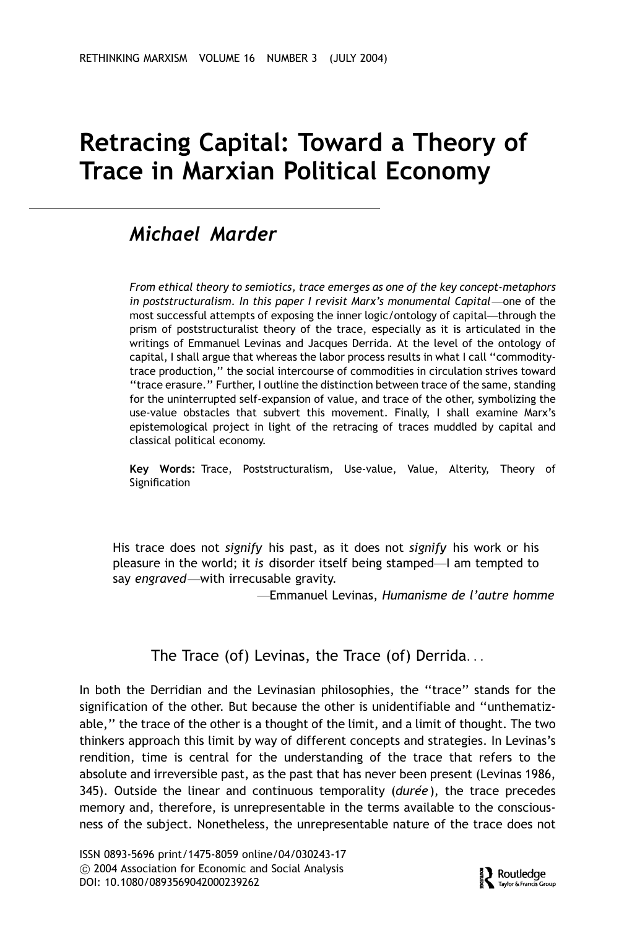# Retracing Capital: Toward a Theory of Trace in Marxian Political Economy

# Michael Marder

From ethical theory to semiotics, trace emerges as one of the key concept-metaphors in poststructuralism. In this paper I revisit Marx's monumental Capital—one of the most successful attempts of exposing the inner logic/ontology of capital—through the prism of poststructuralist theory of the trace, especially as it is articulated in the writings of Emmanuel Levinas and Jacques Derrida. At the level of the ontology of capital, I shall argue that whereas the labor process results in what I call ''commoditytrace production,'' the social intercourse of commodities in circulation strives toward ''trace erasure.'' Further, I outline the distinction between trace of the same, standing for the uninterrupted self-expansion of value, and trace of the other, symbolizing the use-value obstacles that subvert this movement. Finally, I shall examine Marx's epistemological project in light of the retracing of traces muddled by capital and classical political economy.

Key Words: Trace, Poststructuralism, Use-value, Value, Alterity, Theory of Signification

His trace does not signify his past, as it does not signify his work or his pleasure in the world; it is disorder itself being stamped-I am tempted to say engraved—with irrecusable gravity.

-Emmanuel Levinas, Humanisme de l'autre homme

#### The Trace (of) Levinas, the Trace (of) Derrida...

In both the Derridian and the Levinasian philosophies, the ''trace'' stands for the signification of the other. But because the other is unidentifiable and ''unthematizable,'' the trace of the other is a thought of the limit, and a limit of thought. The two thinkers approach this limit by way of different concepts and strategies. In Levinas's rendition, time is central for the understanding of the trace that refers to the absolute and irreversible past, as the past that has never been present (Levinas 1986, 345). Outside the linear and continuous temporality  $(durée)$ , the trace precedes memory and, therefore, is unrepresentable in the terms available to the consciousness of the subject. Nonetheless, the unrepresentable nature of the trace does not

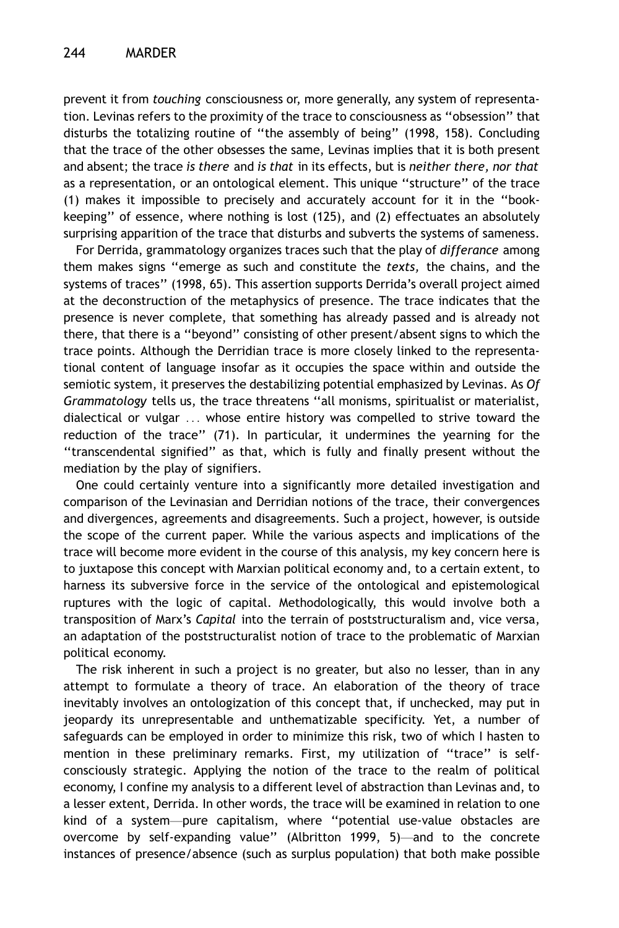prevent it from touching consciousness or, more generally, any system of representation. Levinas refers to the proximity of the trace to consciousness as ''obsession'' that disturbs the totalizing routine of ''the assembly of being'' (1998, 158). Concluding that the trace of the other obsesses the same, Levinas implies that it is both present and absent; the trace is there and is that in its effects, but is neither there, nor that as a representation, or an ontological element. This unique ''structure'' of the trace (1) makes it impossible to precisely and accurately account for it in the ''bookkeeping'' of essence, where nothing is lost (125), and (2) effectuates an absolutely surprising apparition of the trace that disturbs and subverts the systems of sameness.

For Derrida, grammatology organizes traces such that the play of differance among them makes signs ''emerge as such and constitute the texts, the chains, and the systems of traces'' (1998, 65). This assertion supports Derrida's overall project aimed at the deconstruction of the metaphysics of presence. The trace indicates that the presence is never complete, that something has already passed and is already not there, that there is a ''beyond'' consisting of other present/absent signs to which the trace points. Although the Derridian trace is more closely linked to the representational content of language insofar as it occupies the space within and outside the semiotic system, it preserves the destabilizing potential emphasized by Levinas. As Of Grammatology tells us, the trace threatens ''all monisms, spiritualist or materialist, dialectical or vulgar ... whose entire history was compelled to strive toward the reduction of the trace'' (71). In particular, it undermines the yearning for the ''transcendental signified'' as that, which is fully and finally present without the mediation by the play of signifiers.

One could certainly venture into a significantly more detailed investigation and comparison of the Levinasian and Derridian notions of the trace, their convergences and divergences, agreements and disagreements. Such a project, however, is outside the scope of the current paper. While the various aspects and implications of the trace will become more evident in the course of this analysis, my key concern here is to juxtapose this concept with Marxian political economy and, to a certain extent, to harness its subversive force in the service of the ontological and epistemological ruptures with the logic of capital. Methodologically, this would involve both a transposition of Marx's Capital into the terrain of poststructuralism and, vice versa, an adaptation of the poststructuralist notion of trace to the problematic of Marxian political economy.

The risk inherent in such a project is no greater, but also no lesser, than in any attempt to formulate a theory of trace. An elaboration of the theory of trace inevitably involves an ontologization of this concept that, if unchecked, may put in jeopardy its unrepresentable and unthematizable specificity. Yet, a number of safeguards can be employed in order to minimize this risk, two of which I hasten to mention in these preliminary remarks. First, my utilization of ''trace'' is selfconsciously strategic. Applying the notion of the trace to the realm of political economy, I confine my analysis to a different level of abstraction than Levinas and, to a lesser extent, Derrida. In other words, the trace will be examined in relation to one kind of a system—pure capitalism, where "potential use-value obstacles are overcome by self-expanding value" (Albritton 1999,  $5$ )—and to the concrete instances of presence/absence (such as surplus population) that both make possible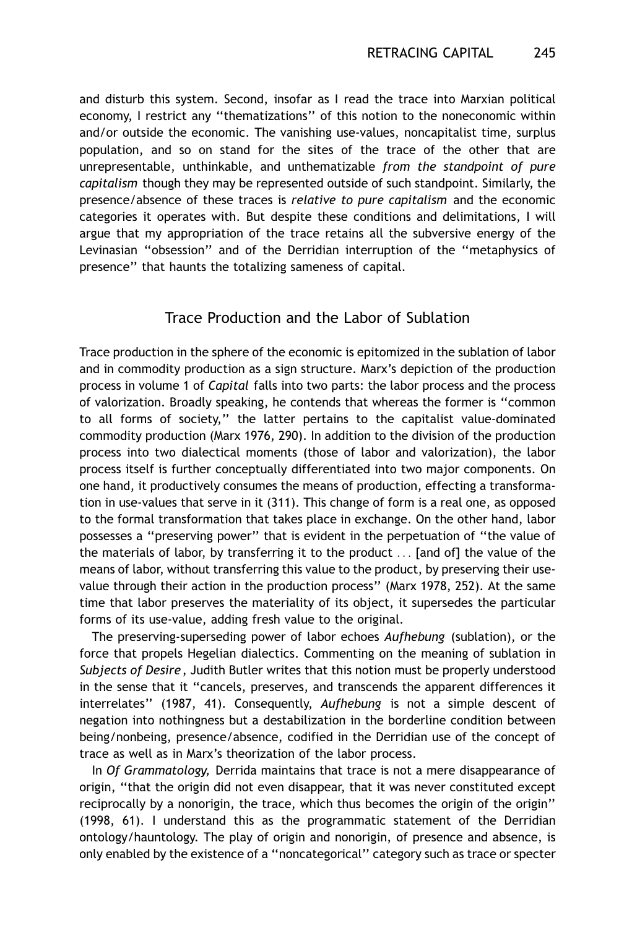and disturb this system. Second, insofar as I read the trace into Marxian political economy, I restrict any ''thematizations'' of this notion to the noneconomic within and/or outside the economic. The vanishing use-values, noncapitalist time, surplus population, and so on stand for the sites of the trace of the other that are unrepresentable, unthinkable, and unthematizable from the standpoint of pure capitalism though they may be represented outside of such standpoint. Similarly, the presence/absence of these traces is relative to pure capitalism and the economic categories it operates with. But despite these conditions and delimitations, I will argue that my appropriation of the trace retains all the subversive energy of the Levinasian ''obsession'' and of the Derridian interruption of the ''metaphysics of presence'' that haunts the totalizing sameness of capital.

## Trace Production and the Labor of Sublation

Trace production in the sphere of the economic is epitomized in the sublation of labor and in commodity production as a sign structure. Marx's depiction of the production process in volume 1 of Capital falls into two parts: the labor process and the process of valorization. Broadly speaking, he contends that whereas the former is ''common to all forms of society,'' the latter pertains to the capitalist value-dominated commodity production (Marx 1976, 290). In addition to the division of the production process into two dialectical moments (those of labor and valorization), the labor process itself is further conceptually differentiated into two major components. On one hand, it productively consumes the means of production, effecting a transformation in use-values that serve in it (311). This change of form is a real one, as opposed to the formal transformation that takes place in exchange. On the other hand, labor possesses a ''preserving power'' that is evident in the perpetuation of ''the value of the materials of labor, by transferring it to the product ... [and of] the value of the means of labor, without transferring this value to the product, by preserving their usevalue through their action in the production process'' (Marx 1978, 252). At the same time that labor preserves the materiality of its object, it supersedes the particular forms of its use-value, adding fresh value to the original.

The preserving-superseding power of labor echoes Aufhebung (sublation), or the force that propels Hegelian dialectics. Commenting on the meaning of sublation in Subjects of Desire, Judith Butler writes that this notion must be properly understood in the sense that it ''cancels, preserves, and transcends the apparent differences it interrelates'' (1987, 41). Consequently, Aufhebung is not a simple descent of negation into nothingness but a destabilization in the borderline condition between being/nonbeing, presence/absence, codified in the Derridian use of the concept of trace as well as in Marx's theorization of the labor process.

In Of Grammatology, Derrida maintains that trace is not a mere disappearance of origin, ''that the origin did not even disappear, that it was never constituted except reciprocally by a nonorigin, the trace, which thus becomes the origin of the origin'' (1998, 61). I understand this as the programmatic statement of the Derridian ontology/hauntology. The play of origin and nonorigin, of presence and absence, is only enabled by the existence of a ''noncategorical'' category such as trace or specter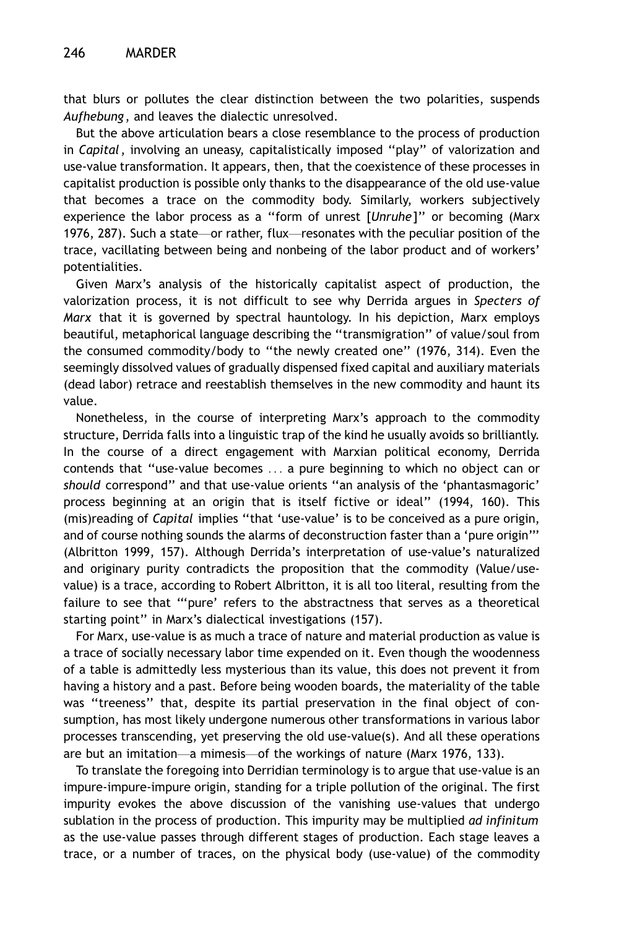that blurs or pollutes the clear distinction between the two polarities, suspends Aufhebung, and leaves the dialectic unresolved.

But the above articulation bears a close resemblance to the process of production in Capital, involving an uneasy, capitalistically imposed ''play'' of valorization and use-value transformation. It appears, then, that the coexistence of these processes in capitalist production is possible only thanks to the disappearance of the old use-value that becomes a trace on the commodity body. Similarly, workers subjectively experience the labor process as a ''form of unrest [Unruhe]'' or becoming (Marx 1976, 287). Such a state—or rather, flux—resonates with the peculiar position of the trace, vacillating between being and nonbeing of the labor product and of workers' potentialities.

Given Marx's analysis of the historically capitalist aspect of production, the valorization process, it is not difficult to see why Derrida argues in Specters of Marx that it is governed by spectral hauntology. In his depiction, Marx employs beautiful, metaphorical language describing the ''transmigration'' of value/soul from the consumed commodity/body to "the newly created one" (1976, 314). Even the seemingly dissolved values of gradually dispensed fixed capital and auxiliary materials (dead labor) retrace and reestablish themselves in the new commodity and haunt its value.

Nonetheless, in the course of interpreting Marx's approach to the commodity structure, Derrida falls into a linguistic trap of the kind he usually avoids so brilliantly. In the course of a direct engagement with Marxian political economy, Derrida contends that ''use-value becomes ... a pure beginning to which no object can or should correspond'' and that use-value orients ''an analysis of the 'phantasmagoric' process beginning at an origin that is itself fictive or ideal'' (1994, 160). This (mis)reading of Capital implies ''that 'use-value' is to be conceived as a pure origin, and of course nothing sounds the alarms of deconstruction faster than a 'pure origin''' (Albritton 1999, 157). Although Derrida's interpretation of use-value's naturalized and originary purity contradicts the proposition that the commodity (Value/usevalue) is a trace, according to Robert Albritton, it is all too literal, resulting from the failure to see that '''pure' refers to the abstractness that serves as a theoretical starting point'' in Marx's dialectical investigations (157).

For Marx, use-value is as much a trace of nature and material production as value is a trace of socially necessary labor time expended on it. Even though the woodenness of a table is admittedly less mysterious than its value, this does not prevent it from having a history and a past. Before being wooden boards, the materiality of the table was ''treeness'' that, despite its partial preservation in the final object of consumption, has most likely undergone numerous other transformations in various labor processes transcending, yet preserving the old use-value(s). And all these operations are but an imitation—a mimesis—of the workings of nature (Marx 1976, 133).

To translate the foregoing into Derridian terminology is to argue that use-value is an impure-impure-impure origin, standing for a triple pollution of the original. The first impurity evokes the above discussion of the vanishing use-values that undergo sublation in the process of production. This impurity may be multiplied *ad infinitum* as the use-value passes through different stages of production. Each stage leaves a trace, or a number of traces, on the physical body (use-value) of the commodity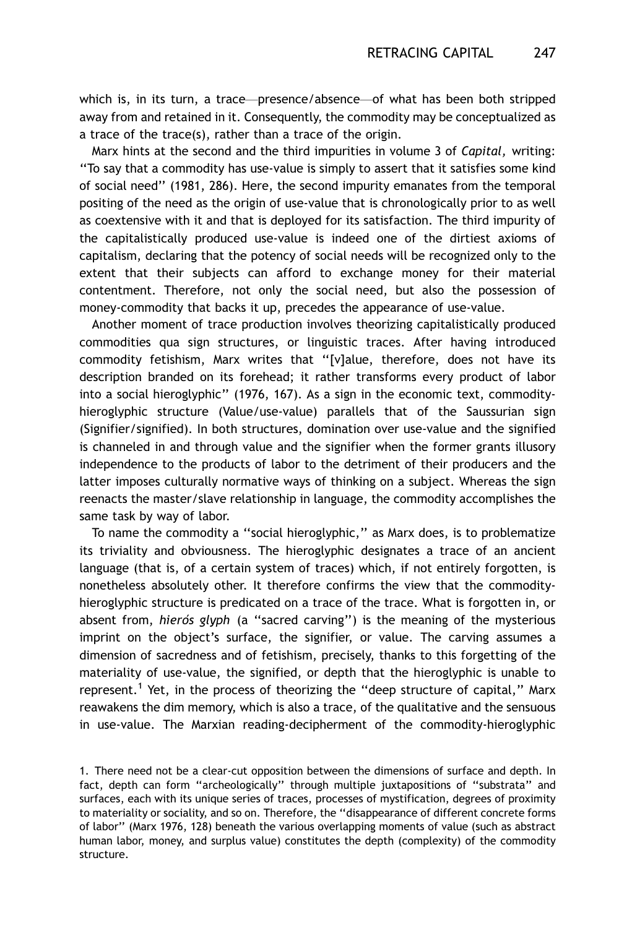which is, in its turn, a trace—presence/absence—of what has been both stripped away from and retained in it. Consequently, the commodity may be conceptualized as a trace of the trace(s), rather than a trace of the origin.

Marx hints at the second and the third impurities in volume 3 of Capital, writing: ''To say that a commodity has use-value is simply to assert that it satisfies some kind of social need'' (1981, 286). Here, the second impurity emanates from the temporal positing of the need as the origin of use-value that is chronologically prior to as well as coextensive with it and that is deployed for its satisfaction. The third impurity of the capitalistically produced use-value is indeed one of the dirtiest axioms of capitalism, declaring that the potency of social needs will be recognized only to the extent that their subjects can afford to exchange money for their material contentment. Therefore, not only the social need, but also the possession of money-commodity that backs it up, precedes the appearance of use-value.

Another moment of trace production involves theorizing capitalistically produced commodities qua sign structures, or linguistic traces. After having introduced commodity fetishism, Marx writes that ''[v]alue, therefore, does not have its description branded on its forehead; it rather transforms every product of labor into a social hieroglyphic'' (1976, 167). As a sign in the economic text, commodityhieroglyphic structure (Value/use-value) parallels that of the Saussurian sign (Signifier/signified). In both structures, domination over use-value and the signified is channeled in and through value and the signifier when the former grants illusory independence to the products of labor to the detriment of their producers and the latter imposes culturally normative ways of thinking on a subject. Whereas the sign reenacts the master/slave relationship in language, the commodity accomplishes the same task by way of labor.

To name the commodity a ''social hieroglyphic,'' as Marx does, is to problematize its triviality and obviousness. The hieroglyphic designates a trace of an ancient language (that is, of a certain system of traces) which, if not entirely forgotten, is nonetheless absolutely other. It therefore confirms the view that the commodityhieroglyphic structure is predicated on a trace of the trace. What is forgotten in, or absent from, *hiero's glyph* (a "sacred carving") is the meaning of the mysterious imprint on the object's surface, the signifier, or value. The carving assumes a dimension of sacredness and of fetishism, precisely, thanks to this forgetting of the materiality of use-value, the signified, or depth that the hieroglyphic is unable to represent.<sup>1</sup> Yet, in the process of theorizing the "deep structure of capital," Marx reawakens the dim memory, which is also a trace, of the qualitative and the sensuous in use-value. The Marxian reading-decipherment of the commodity-hieroglyphic

<sup>1.</sup> There need not be a clear-cut opposition between the dimensions of surface and depth. In fact, depth can form ''archeologically'' through multiple juxtapositions of ''substrata'' and surfaces, each with its unique series of traces, processes of mystification, degrees of proximity to materiality or sociality, and so on. Therefore, the ''disappearance of different concrete forms of labor'' (Marx 1976, 128) beneath the various overlapping moments of value (such as abstract human labor, money, and surplus value) constitutes the depth (complexity) of the commodity structure.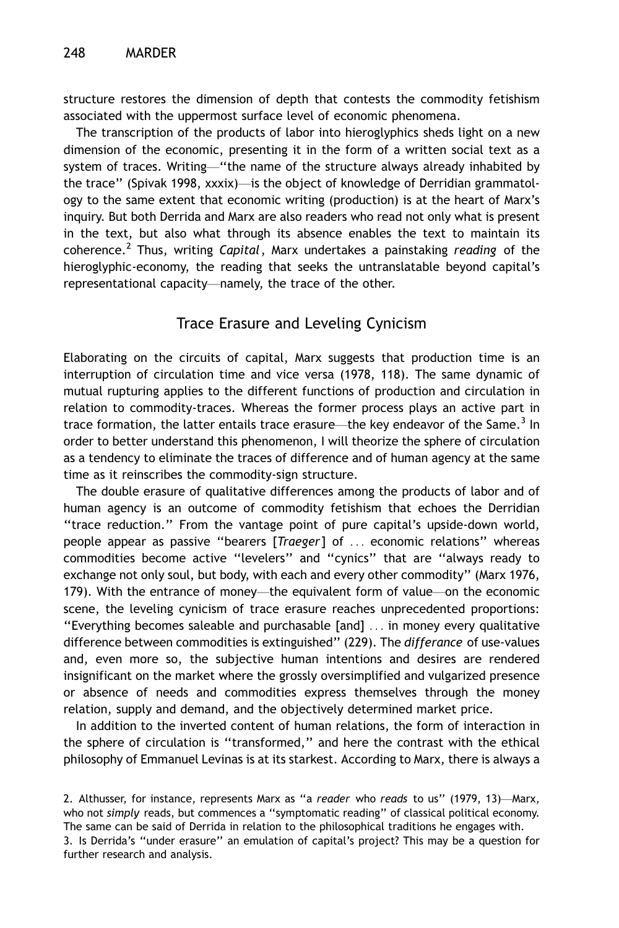structure restores the dimension of depth that contests the commodity fetishism associated with the uppermost surface level of economic phenomena.

The transcription of the products of labor into hieroglyphics sheds light on a new dimension of the economic, presenting it in the form of a written social text as a system of traces. Writing—"the name of the structure always already inhabited by the trace" (Spivak 1998, xxxix)—is the object of knowledge of Derridian grammatology to the same extent that economic writing (production) is at the heart of Marx's inquiry. But both Derrida and Marx are also readers who read not only what is present in the text, but also what through its absence enables the text to maintain its coherence.<sup>2</sup> Thus, writing *Capital*, Marx undertakes a painstaking reading of the hieroglyphic-economy, the reading that seeks the untranslatable beyond capital's representational capacity—namely, the trace of the other.

#### Trace Erasure and Leveling Cynicism

Elaborating on the circuits of capital, Marx suggests that production time is an interruption of circulation time and vice versa (1978, 118). The same dynamic of mutual rupturing applies to the different functions of production and circulation in relation to commodity-traces. Whereas the former process plays an active part in trace formation, the latter entails trace erasure—the key endeavor of the Same. $3$  In order to better understand this phenomenon, I will theorize the sphere of circulation as a tendency to eliminate the traces of difference and of human agency at the same time as it reinscribes the commodity-sign structure.

The double erasure of qualitative differences among the products of labor and of human agency is an outcome of commodity fetishism that echoes the Derridian "trace reduction." From the vantage point of pure capital's upside-down world, people appear as passive "bearers [Traeger] of ... economic relations" whereas commodities become active ''levelers'' and ''cynics'' that are ''always ready to exchange not only soul, but body, with each and every other commodity'' (Marx 1976, 179). With the entrance of money—the equivalent form of value—on the economic scene, the leveling cynicism of trace erasure reaches unprecedented proportions: ''Everything becomes saleable and purchasable [and] ... in money every qualitative difference between commodities is extinguished'' (229). The differance of use-values and, even more so, the subjective human intentions and desires are rendered insignificant on the market where the grossly oversimplified and vulgarized presence or absence of needs and commodities express themselves through the money relation, supply and demand, and the objectively determined market price.

In addition to the inverted content of human relations, the form of interaction in the sphere of circulation is ''transformed,'' and here the contrast with the ethical philosophy of Emmanuel Levinas is at its starkest. According to Marx, there is always a

<sup>2.</sup> Althusser, for instance, represents Marx as "a reader who reads to us" (1979, 13)—Marx, who not simply reads, but commences a "symptomatic reading" of classical political economy. The same can be said of Derrida in relation to the philosophical traditions he engages with. 3. Is Derrida's ''under erasure'' an emulation of capital's project? This may be a question for further research and analysis.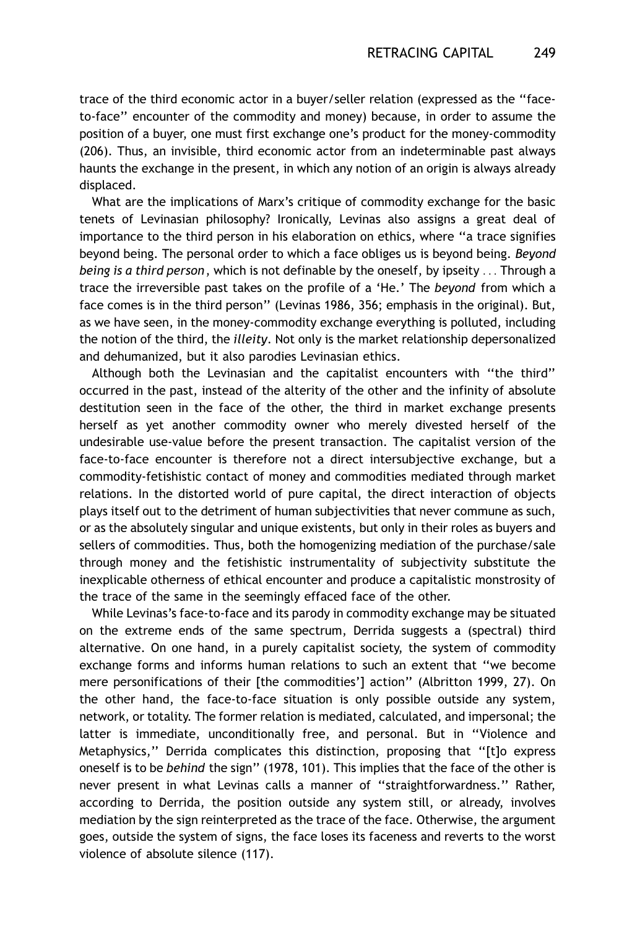trace of the third economic actor in a buyer/seller relation (expressed as the ''faceto-face'' encounter of the commodity and money) because, in order to assume the position of a buyer, one must first exchange one's product for the money-commodity (206). Thus, an invisible, third economic actor from an indeterminable past always haunts the exchange in the present, in which any notion of an origin is always already displaced.

What are the implications of Marx's critique of commodity exchange for the basic tenets of Levinasian philosophy? Ironically, Levinas also assigns a great deal of importance to the third person in his elaboration on ethics, where ''a trace signifies beyond being. The personal order to which a face obliges us is beyond being. Beyond being is a third person, which is not definable by the oneself, by ipseity ... Through a trace the irreversible past takes on the profile of a 'He.' The beyond from which a face comes is in the third person'' (Levinas 1986, 356; emphasis in the original). But, as we have seen, in the money-commodity exchange everything is polluted, including the notion of the third, the illeity. Not only is the market relationship depersonalized and dehumanized, but it also parodies Levinasian ethics.

Although both the Levinasian and the capitalist encounters with ''the third'' occurred in the past, instead of the alterity of the other and the infinity of absolute destitution seen in the face of the other, the third in market exchange presents herself as yet another commodity owner who merely divested herself of the undesirable use-value before the present transaction. The capitalist version of the face-to-face encounter is therefore not a direct intersubjective exchange, but a commodity-fetishistic contact of money and commodities mediated through market relations. In the distorted world of pure capital, the direct interaction of objects plays itself out to the detriment of human subjectivities that never commune as such, or as the absolutely singular and unique existents, but only in their roles as buyers and sellers of commodities. Thus, both the homogenizing mediation of the purchase/sale through money and the fetishistic instrumentality of subjectivity substitute the inexplicable otherness of ethical encounter and produce a capitalistic monstrosity of the trace of the same in the seemingly effaced face of the other.

While Levinas's face-to-face and its parody in commodity exchange may be situated on the extreme ends of the same spectrum, Derrida suggests a (spectral) third alternative. On one hand, in a purely capitalist society, the system of commodity exchange forms and informs human relations to such an extent that ''we become mere personifications of their [the commodities'] action'' (Albritton 1999, 27). On the other hand, the face-to-face situation is only possible outside any system, network, or totality. The former relation is mediated, calculated, and impersonal; the latter is immediate, unconditionally free, and personal. But in ''Violence and Metaphysics,'' Derrida complicates this distinction, proposing that ''[t]o express oneself is to be *behind* the sign" (1978, 101). This implies that the face of the other is never present in what Levinas calls a manner of ''straightforwardness.'' Rather, according to Derrida, the position outside any system still, or already, involves mediation by the sign reinterpreted as the trace of the face. Otherwise, the argument goes, outside the system of signs, the face loses its faceness and reverts to the worst violence of absolute silence (117).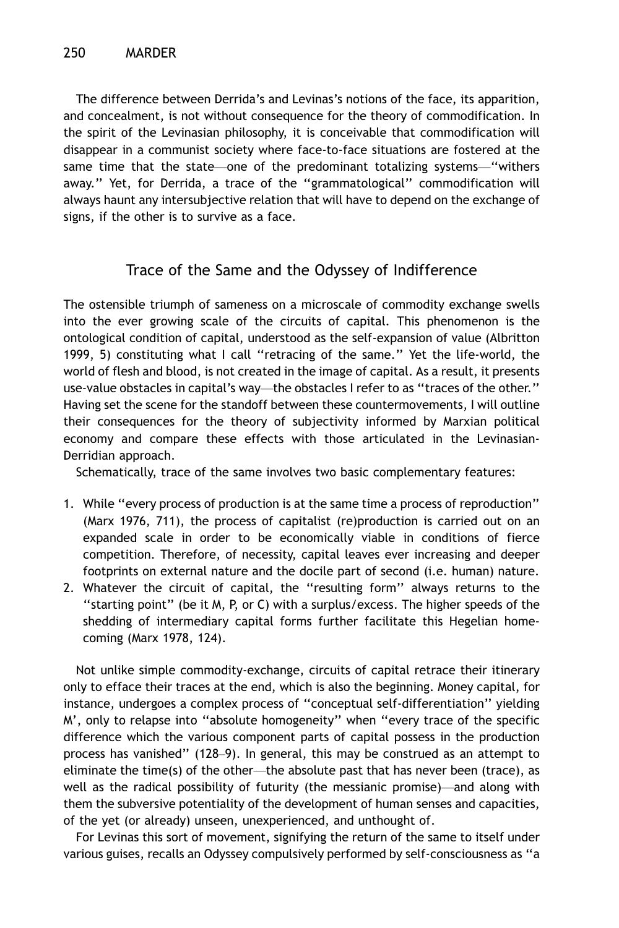The difference between Derrida's and Levinas's notions of the face, its apparition, and concealment, is not without consequence for the theory of commodification. In the spirit of the Levinasian philosophy, it is conceivable that commodification will disappear in a communist society where face-to-face situations are fostered at the same time that the state—one of the predominant totalizing systems—"withers away.'' Yet, for Derrida, a trace of the ''grammatological'' commodification will always haunt any intersubjective relation that will have to depend on the exchange of signs, if the other is to survive as a face.

## Trace of the Same and the Odyssey of Indifference

The ostensible triumph of sameness on a microscale of commodity exchange swells into the ever growing scale of the circuits of capital. This phenomenon is the ontological condition of capital, understood as the self-expansion of value (Albritton 1999, 5) constituting what I call ''retracing of the same.'' Yet the life-world, the world of flesh and blood, is not created in the image of capital. As a result, it presents use-value obstacles in capital's way-the obstacles I refer to as "traces of the other." Having set the scene for the standoff between these countermovements, I will outline their consequences for the theory of subjectivity informed by Marxian political economy and compare these effects with those articulated in the Levinasian-Derridian approach.

Schematically, trace of the same involves two basic complementary features:

- 1. While ''every process of production is at the same time a process of reproduction'' (Marx 1976, 711), the process of capitalist (re)production is carried out on an expanded scale in order to be economically viable in conditions of fierce competition. Therefore, of necessity, capital leaves ever increasing and deeper footprints on external nature and the docile part of second (i.e. human) nature.
- 2. Whatever the circuit of capital, the ''resulting form'' always returns to the ''starting point'' (be it M, P, or C) with a surplus/excess. The higher speeds of the shedding of intermediary capital forms further facilitate this Hegelian homecoming (Marx 1978, 124).

Not unlike simple commodity-exchange, circuits of capital retrace their itinerary only to efface their traces at the end, which is also the beginning. Money capital, for instance, undergoes a complex process of ''conceptual self-differentiation'' yielding M', only to relapse into ''absolute homogeneity'' when ''every trace of the specific difference which the various component parts of capital possess in the production process has vanished'' (128–9). In general, this may be construed as an attempt to eliminate the time(s) of the other—the absolute past that has never been (trace), as well as the radical possibility of futurity (the messianic promise)—and along with them the subversive potentiality of the development of human senses and capacities, of the yet (or already) unseen, unexperienced, and unthought of.

For Levinas this sort of movement, signifying the return of the same to itself under various guises, recalls an Odyssey compulsively performed by self-consciousness as ''a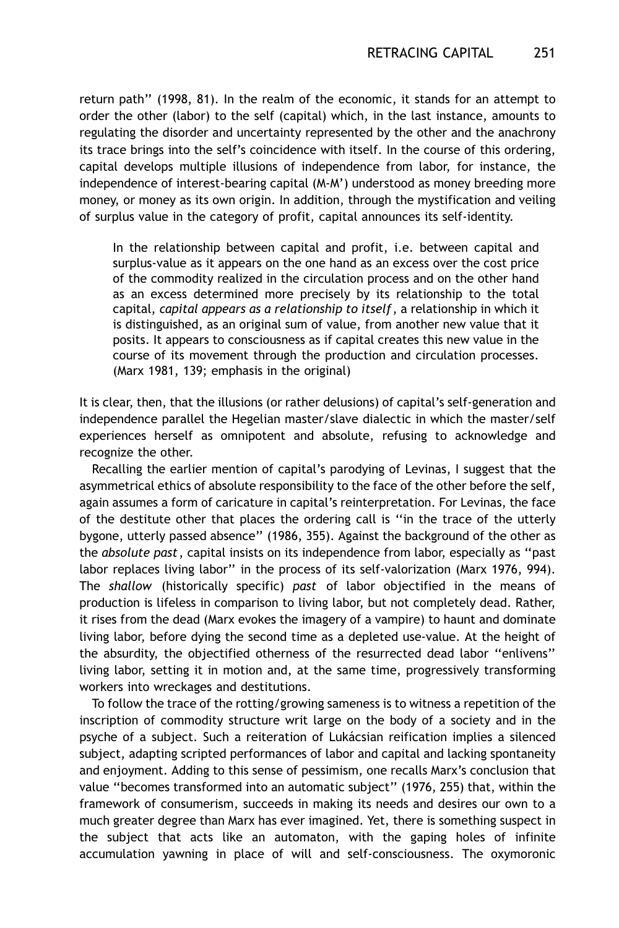return path'' (1998, 81). In the realm of the economic, it stands for an attempt to order the other (labor) to the self (capital) which, in the last instance, amounts to regulating the disorder and uncertainty represented by the other and the anachrony its trace brings into the self's coincidence with itself. In the course of this ordering, capital develops multiple illusions of independence from labor, for instance, the independence of interest-bearing capital (M-M') understood as money breeding more money, or money as its own origin. In addition, through the mystification and veiling of surplus value in the category of profit, capital announces its self-identity.

In the relationship between capital and profit, i.e. between capital and surplus-value as it appears on the one hand as an excess over the cost price of the commodity realized in the circulation process and on the other hand as an excess determined more precisely by its relationship to the total capital, capital appears as a relationship to itself, a relationship in which it is distinguished, as an original sum of value, from another new value that it posits. It appears to consciousness as if capital creates this new value in the course of its movement through the production and circulation processes. (Marx 1981, 139; emphasis in the original)

It is clear, then, that the illusions (or rather delusions) of capital's self-generation and independence parallel the Hegelian master/slave dialectic in which the master/self experiences herself as omnipotent and absolute, refusing to acknowledge and recognize the other.

Recalling the earlier mention of capital's parodying of Levinas, I suggest that the asymmetrical ethics of absolute responsibility to the face of the other before the self, again assumes a form of caricature in capital's reinterpretation. For Levinas, the face of the destitute other that places the ordering call is ''in the trace of the utterly bygone, utterly passed absence'' (1986, 355). Against the background of the other as the *absolute past*, capital insists on its independence from labor, especially as "past labor replaces living labor'' in the process of its self-valorization (Marx 1976, 994). The shallow (historically specific) past of labor objectified in the means of production is lifeless in comparison to living labor, but not completely dead. Rather, it rises from the dead (Marx evokes the imagery of a vampire) to haunt and dominate living labor, before dying the second time as a depleted use-value. At the height of the absurdity, the objectified otherness of the resurrected dead labor ''enlivens'' living labor, setting it in motion and, at the same time, progressively transforming workers into wreckages and destitutions.

To follow the trace of the rotting/growing sameness is to witness a repetition of the inscription of commodity structure writ large on the body of a society and in the psyche of a subject. Such a reiteration of Luka´csian reification implies a silenced subject, adapting scripted performances of labor and capital and lacking spontaneity and enjoyment. Adding to this sense of pessimism, one recalls Marx's conclusion that value ''becomes transformed into an automatic subject'' (1976, 255) that, within the framework of consumerism, succeeds in making its needs and desires our own to a much greater degree than Marx has ever imagined. Yet, there is something suspect in the subject that acts like an automaton, with the gaping holes of infinite accumulation yawning in place of will and self-consciousness. The oxymoronic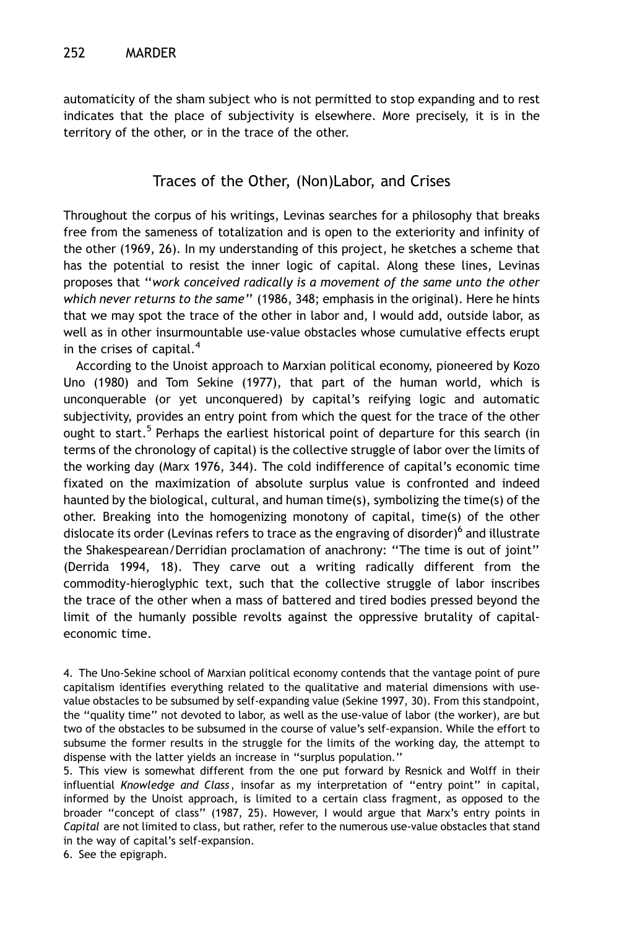automaticity of the sham subject who is not permitted to stop expanding and to rest indicates that the place of subjectivity is elsewhere. More precisely, it is in the territory of the other, or in the trace of the other.

# Traces of the Other, (Non)Labor, and Crises

Throughout the corpus of his writings, Levinas searches for a philosophy that breaks free from the sameness of totalization and is open to the exteriority and infinity of the other (1969, 26). In my understanding of this project, he sketches a scheme that has the potential to resist the inner logic of capital. Along these lines, Levinas proposes that ''work conceived radically is a movement of the same unto the other which never returns to the same" (1986, 348; emphasis in the original). Here he hints that we may spot the trace of the other in labor and, I would add, outside labor, as well as in other insurmountable use-value obstacles whose cumulative effects erupt in the crises of capital.<sup>4</sup>

According to the Unoist approach to Marxian political economy, pioneered by Kozo Uno (1980) and Tom Sekine (1977), that part of the human world, which is unconquerable (or yet unconquered) by capital's reifying logic and automatic subjectivity, provides an entry point from which the quest for the trace of the other ought to start.<sup>5</sup> Perhaps the earliest historical point of departure for this search (in terms of the chronology of capital) is the collective struggle of labor over the limits of the working day (Marx 1976, 344). The cold indifference of capital's economic time fixated on the maximization of absolute surplus value is confronted and indeed haunted by the biological, cultural, and human time(s), symbolizing the time(s) of the other. Breaking into the homogenizing monotony of capital, time(s) of the other dislocate its order (Levinas refers to trace as the engraving of disorder) $^6$  and illustrate the Shakespearean/Derridian proclamation of anachrony: ''The time is out of joint'' (Derrida 1994, 18). They carve out a writing radically different from the commodity-hieroglyphic text, such that the collective struggle of labor inscribes the trace of the other when a mass of battered and tired bodies pressed beyond the limit of the humanly possible revolts against the oppressive brutality of capitaleconomic time.

4. The Uno-Sekine school of Marxian political economy contends that the vantage point of pure capitalism identifies everything related to the qualitative and material dimensions with usevalue obstacles to be subsumed by self-expanding value (Sekine 1997, 30). From this standpoint, the ''quality time'' not devoted to labor, as well as the use-value of labor (the worker), are but two of the obstacles to be subsumed in the course of value's self-expansion. While the effort to subsume the former results in the struggle for the limits of the working day, the attempt to dispense with the latter yields an increase in ''surplus population.''

5. This view is somewhat different from the one put forward by Resnick and Wolff in their influential Knowledge and Class, insofar as my interpretation of "entry point" in capital, informed by the Unoist approach, is limited to a certain class fragment, as opposed to the broader ''concept of class'' (1987, 25). However, I would argue that Marx's entry points in Capital are not limited to class, but rather, refer to the numerous use-value obstacles that stand in the way of capital's self-expansion.

6. See the epigraph.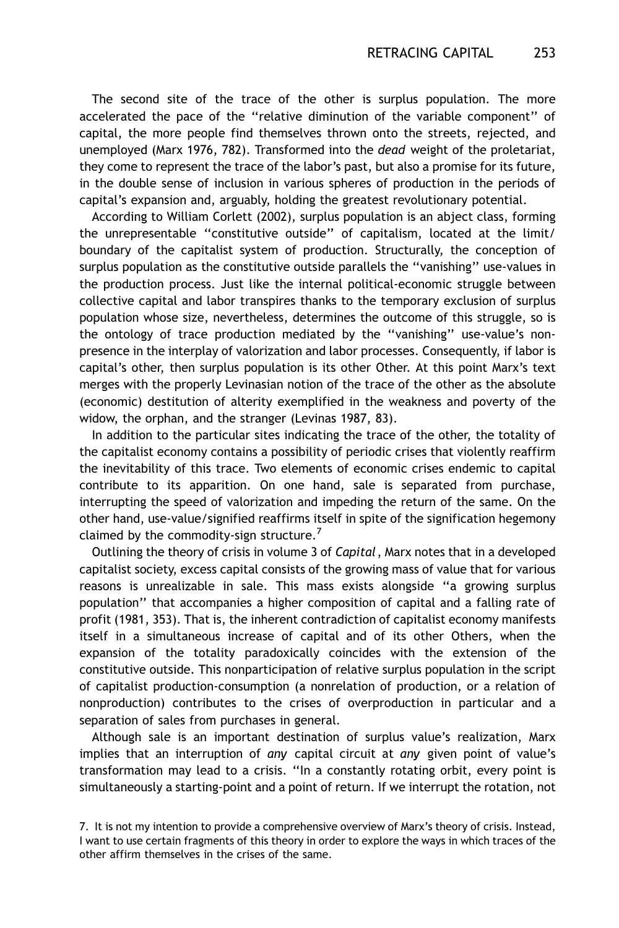The second site of the trace of the other is surplus population. The more accelerated the pace of the ''relative diminution of the variable component'' of capital, the more people find themselves thrown onto the streets, rejected, and unemployed (Marx 1976, 782). Transformed into the dead weight of the proletariat, they come to represent the trace of the labor's past, but also a promise for its future, in the double sense of inclusion in various spheres of production in the periods of capital's expansion and, arguably, holding the greatest revolutionary potential.

According to William Corlett (2002), surplus population is an abject class, forming the unrepresentable ''constitutive outside'' of capitalism, located at the limit/ boundary of the capitalist system of production. Structurally, the conception of surplus population as the constitutive outside parallels the ''vanishing'' use-values in the production process. Just like the internal political-economic struggle between collective capital and labor transpires thanks to the temporary exclusion of surplus population whose size, nevertheless, determines the outcome of this struggle, so is the ontology of trace production mediated by the ''vanishing'' use-value's nonpresence in the interplay of valorization and labor processes. Consequently, if labor is capital's other, then surplus population is its other Other. At this point Marx's text merges with the properly Levinasian notion of the trace of the other as the absolute (economic) destitution of alterity exemplified in the weakness and poverty of the widow, the orphan, and the stranger (Levinas 1987, 83).

In addition to the particular sites indicating the trace of the other, the totality of the capitalist economy contains a possibility of periodic crises that violently reaffirm the inevitability of this trace. Two elements of economic crises endemic to capital contribute to its apparition. On one hand, sale is separated from purchase, interrupting the speed of valorization and impeding the return of the same. On the other hand, use-value/signified reaffirms itself in spite of the signification hegemony claimed by the commodity-sign structure.<sup>7</sup>

Outlining the theory of crisis in volume 3 of Capital, Marx notes that in a developed capitalist society, excess capital consists of the growing mass of value that for various reasons is unrealizable in sale. This mass exists alongside ''a growing surplus population'' that accompanies a higher composition of capital and a falling rate of profit (1981, 353). That is, the inherent contradiction of capitalist economy manifests itself in a simultaneous increase of capital and of its other Others, when the expansion of the totality paradoxically coincides with the extension of the constitutive outside. This nonparticipation of relative surplus population in the script of capitalist production-consumption (a nonrelation of production, or a relation of nonproduction) contributes to the crises of overproduction in particular and a separation of sales from purchases in general.

Although sale is an important destination of surplus value's realization, Marx implies that an interruption of any capital circuit at any given point of value's transformation may lead to a crisis. ''In a constantly rotating orbit, every point is simultaneously a starting-point and a point of return. If we interrupt the rotation, not

<sup>7.</sup> It is not my intention to provide a comprehensive overview of Marx's theory of crisis. Instead, I want to use certain fragments of this theory in order to explore the ways in which traces of the other affirm themselves in the crises of the same.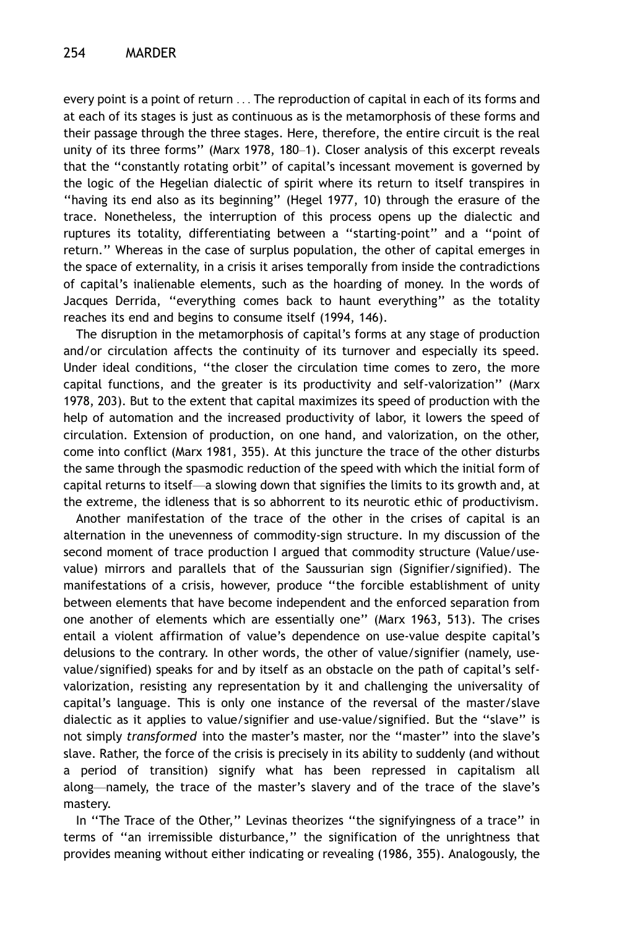every point is a point of return ... The reproduction of capital in each of its forms and at each of its stages is just as continuous as is the metamorphosis of these forms and their passage through the three stages. Here, therefore, the entire circuit is the real unity of its three forms'' (Marx 1978, 180-/1). Closer analysis of this excerpt reveals that the ''constantly rotating orbit'' of capital's incessant movement is governed by the logic of the Hegelian dialectic of spirit where its return to itself transpires in ''having its end also as its beginning'' (Hegel 1977, 10) through the erasure of the trace. Nonetheless, the interruption of this process opens up the dialectic and ruptures its totality, differentiating between a ''starting-point'' and a ''point of return.'' Whereas in the case of surplus population, the other of capital emerges in the space of externality, in a crisis it arises temporally from inside the contradictions of capital's inalienable elements, such as the hoarding of money. In the words of Jacques Derrida, ''everything comes back to haunt everything'' as the totality reaches its end and begins to consume itself (1994, 146).

The disruption in the metamorphosis of capital's forms at any stage of production and/or circulation affects the continuity of its turnover and especially its speed. Under ideal conditions, ''the closer the circulation time comes to zero, the more capital functions, and the greater is its productivity and self-valorization'' (Marx 1978, 203). But to the extent that capital maximizes its speed of production with the help of automation and the increased productivity of labor, it lowers the speed of circulation. Extension of production, on one hand, and valorization, on the other, come into conflict (Marx 1981, 355). At this juncture the trace of the other disturbs the same through the spasmodic reduction of the speed with which the initial form of capital returns to itself—a slowing down that signifies the limits to its growth and, at the extreme, the idleness that is so abhorrent to its neurotic ethic of productivism.

Another manifestation of the trace of the other in the crises of capital is an alternation in the unevenness of commodity-sign structure. In my discussion of the second moment of trace production I argued that commodity structure (Value/usevalue) mirrors and parallels that of the Saussurian sign (Signifier/signified). The manifestations of a crisis, however, produce ''the forcible establishment of unity between elements that have become independent and the enforced separation from one another of elements which are essentially one'' (Marx 1963, 513). The crises entail a violent affirmation of value's dependence on use-value despite capital's delusions to the contrary. In other words, the other of value/signifier (namely, usevalue/signified) speaks for and by itself as an obstacle on the path of capital's selfvalorization, resisting any representation by it and challenging the universality of capital's language. This is only one instance of the reversal of the master/slave dialectic as it applies to value/signifier and use-value/signified. But the ''slave'' is not simply transformed into the master's master, nor the ''master'' into the slave's slave. Rather, the force of the crisis is precisely in its ability to suddenly (and without a period of transition) signify what has been repressed in capitalism all along—namely, the trace of the master's slavery and of the trace of the slave's mastery.

In ''The Trace of the Other,'' Levinas theorizes ''the signifyingness of a trace'' in terms of ''an irremissible disturbance,'' the signification of the unrightness that provides meaning without either indicating or revealing (1986, 355). Analogously, the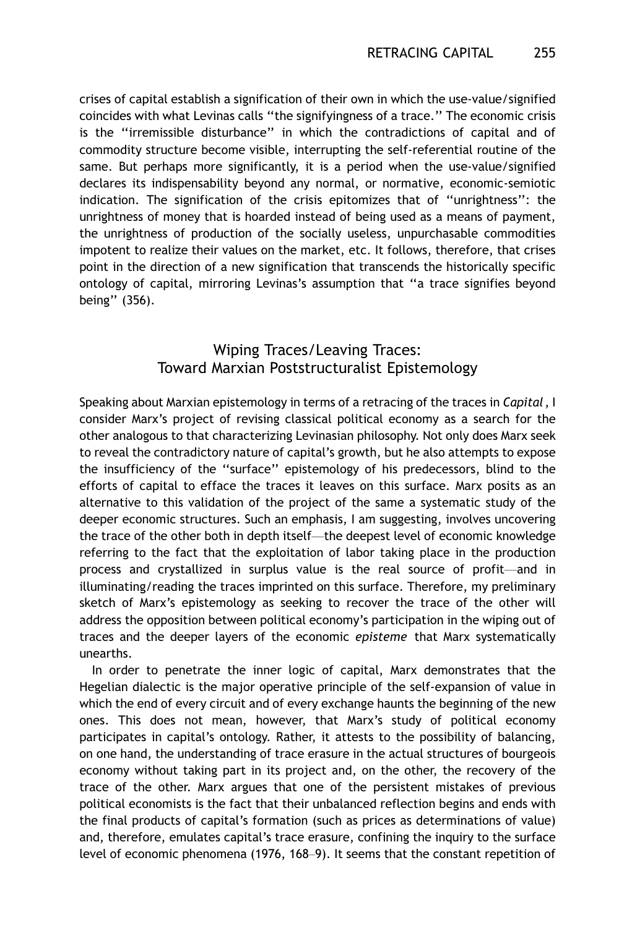crises of capital establish a signification of their own in which the use-value/signified coincides with what Levinas calls ''the signifyingness of a trace.'' The economic crisis is the ''irremissible disturbance'' in which the contradictions of capital and of commodity structure become visible, interrupting the self-referential routine of the same. But perhaps more significantly, it is a period when the use-value/signified declares its indispensability beyond any normal, or normative, economic-semiotic indication. The signification of the crisis epitomizes that of ''unrightness'': the unrightness of money that is hoarded instead of being used as a means of payment, the unrightness of production of the socially useless, unpurchasable commodities impotent to realize their values on the market, etc. It follows, therefore, that crises point in the direction of a new signification that transcends the historically specific ontology of capital, mirroring Levinas's assumption that ''a trace signifies beyond being'' (356).

## Wiping Traces/Leaving Traces: Toward Marxian Poststructuralist Epistemology

Speaking about Marxian epistemology in terms of a retracing of the traces in Capital, I consider Marx's project of revising classical political economy as a search for the other analogous to that characterizing Levinasian philosophy. Not only does Marx seek to reveal the contradictory nature of capital's growth, but he also attempts to expose the insufficiency of the ''surface'' epistemology of his predecessors, blind to the efforts of capital to efface the traces it leaves on this surface. Marx posits as an alternative to this validation of the project of the same a systematic study of the deeper economic structures. Such an emphasis, I am suggesting, involves uncovering the trace of the other both in depth itself—the deepest level of economic knowledge referring to the fact that the exploitation of labor taking place in the production process and crystallized in surplus value is the real source of profit-and in illuminating/reading the traces imprinted on this surface. Therefore, my preliminary sketch of Marx's epistemology as seeking to recover the trace of the other will address the opposition between political economy's participation in the wiping out of traces and the deeper layers of the economic episteme that Marx systematically unearths.

In order to penetrate the inner logic of capital, Marx demonstrates that the Hegelian dialectic is the major operative principle of the self-expansion of value in which the end of every circuit and of every exchange haunts the beginning of the new ones. This does not mean, however, that Marx's study of political economy participates in capital's ontology. Rather, it attests to the possibility of balancing, on one hand, the understanding of trace erasure in the actual structures of bourgeois economy without taking part in its project and, on the other, the recovery of the trace of the other. Marx argues that one of the persistent mistakes of previous political economists is the fact that their unbalanced reflection begins and ends with the final products of capital's formation (such as prices as determinations of value) and, therefore, emulates capital's trace erasure, confining the inquiry to the surface level of economic phenomena (1976, 168-/9). It seems that the constant repetition of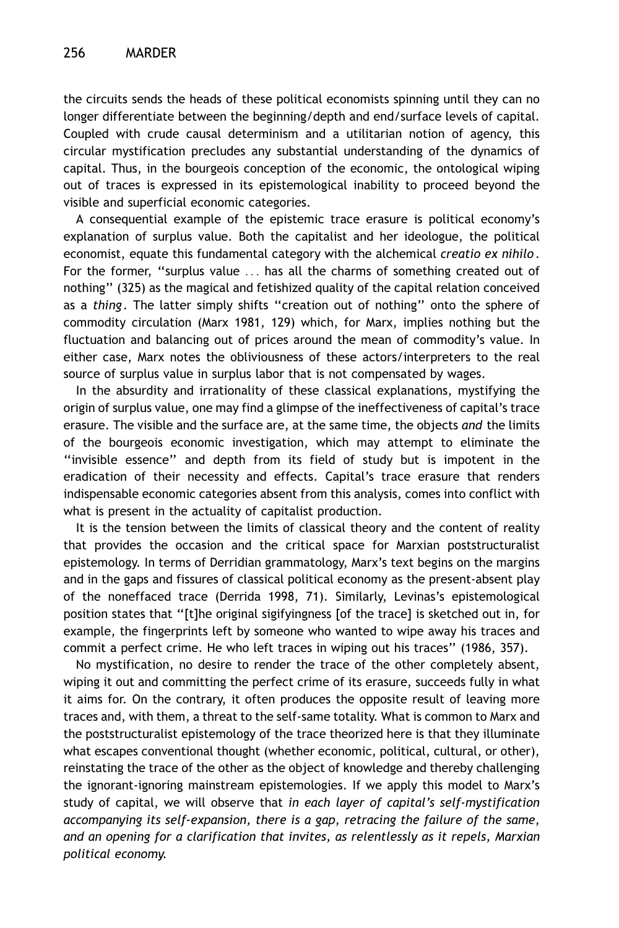the circuits sends the heads of these political economists spinning until they can no longer differentiate between the beginning/depth and end/surface levels of capital. Coupled with crude causal determinism and a utilitarian notion of agency, this circular mystification precludes any substantial understanding of the dynamics of capital. Thus, in the bourgeois conception of the economic, the ontological wiping out of traces is expressed in its epistemological inability to proceed beyond the visible and superficial economic categories.

A consequential example of the epistemic trace erasure is political economy's explanation of surplus value. Both the capitalist and her ideologue, the political economist, equate this fundamental category with the alchemical creatio ex nihilo. For the former, ''surplus value ... has all the charms of something created out of nothing'' (325) as the magical and fetishized quality of the capital relation conceived as a thing. The latter simply shifts ''creation out of nothing'' onto the sphere of commodity circulation (Marx 1981, 129) which, for Marx, implies nothing but the fluctuation and balancing out of prices around the mean of commodity's value. In either case, Marx notes the obliviousness of these actors/interpreters to the real source of surplus value in surplus labor that is not compensated by wages.

In the absurdity and irrationality of these classical explanations, mystifying the origin of surplus value, one may find a glimpse of the ineffectiveness of capital's trace erasure. The visible and the surface are, at the same time, the objects and the limits of the bourgeois economic investigation, which may attempt to eliminate the ''invisible essence'' and depth from its field of study but is impotent in the eradication of their necessity and effects. Capital's trace erasure that renders indispensable economic categories absent from this analysis, comes into conflict with what is present in the actuality of capitalist production.

It is the tension between the limits of classical theory and the content of reality that provides the occasion and the critical space for Marxian poststructuralist epistemology. In terms of Derridian grammatology, Marx's text begins on the margins and in the gaps and fissures of classical political economy as the present-absent play of the noneffaced trace (Derrida 1998, 71). Similarly, Levinas's epistemological position states that ''[t]he original sigifyingness [of the trace] is sketched out in, for example, the fingerprints left by someone who wanted to wipe away his traces and commit a perfect crime. He who left traces in wiping out his traces'' (1986, 357).

No mystification, no desire to render the trace of the other completely absent, wiping it out and committing the perfect crime of its erasure, succeeds fully in what it aims for. On the contrary, it often produces the opposite result of leaving more traces and, with them, a threat to the self-same totality. What is common to Marx and the poststructuralist epistemology of the trace theorized here is that they illuminate what escapes conventional thought (whether economic, political, cultural, or other), reinstating the trace of the other as the object of knowledge and thereby challenging the ignorant-ignoring mainstream epistemologies. If we apply this model to Marx's study of capital, we will observe that in each layer of capital's self-mystification accompanying its self-expansion, there is a gap, retracing the failure of the same, and an opening for a clarification that invites, as relentlessly as it repels, Marxian political economy.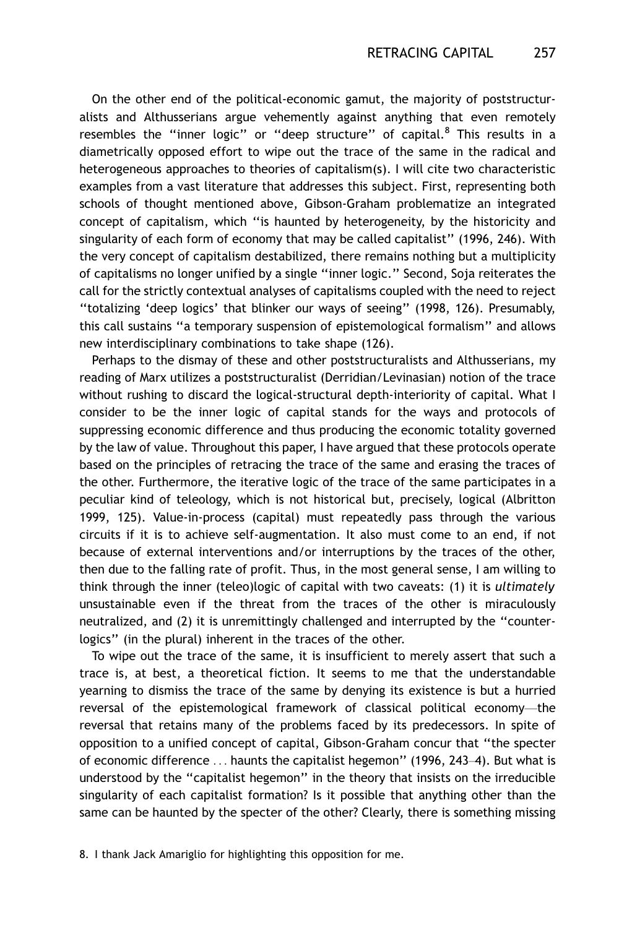On the other end of the political-economic gamut, the majority of poststructuralists and Althusserians argue vehemently against anything that even remotely resembles the "inner logic" or "deep structure" of capital.<sup>8</sup> This results in a diametrically opposed effort to wipe out the trace of the same in the radical and heterogeneous approaches to theories of capitalism(s). I will cite two characteristic examples from a vast literature that addresses this subject. First, representing both schools of thought mentioned above, Gibson-Graham problematize an integrated concept of capitalism, which ''is haunted by heterogeneity, by the historicity and singularity of each form of economy that may be called capitalist'' (1996, 246). With the very concept of capitalism destabilized, there remains nothing but a multiplicity of capitalisms no longer unified by a single ''inner logic.'' Second, Soja reiterates the call for the strictly contextual analyses of capitalisms coupled with the need to reject ''totalizing 'deep logics' that blinker our ways of seeing'' (1998, 126). Presumably, this call sustains ''a temporary suspension of epistemological formalism'' and allows new interdisciplinary combinations to take shape (126).

Perhaps to the dismay of these and other poststructuralists and Althusserians, my reading of Marx utilizes a poststructuralist (Derridian/Levinasian) notion of the trace without rushing to discard the logical-structural depth-interiority of capital. What I consider to be the inner logic of capital stands for the ways and protocols of suppressing economic difference and thus producing the economic totality governed by the law of value. Throughout this paper, I have argued that these protocols operate based on the principles of retracing the trace of the same and erasing the traces of the other. Furthermore, the iterative logic of the trace of the same participates in a peculiar kind of teleology, which is not historical but, precisely, logical (Albritton 1999, 125). Value-in-process (capital) must repeatedly pass through the various circuits if it is to achieve self-augmentation. It also must come to an end, if not because of external interventions and/or interruptions by the traces of the other, then due to the falling rate of profit. Thus, in the most general sense, I am willing to think through the inner (teleo)logic of capital with two caveats: (1) it is ultimately unsustainable even if the threat from the traces of the other is miraculously neutralized, and (2) it is unremittingly challenged and interrupted by the ''counterlogics'' (in the plural) inherent in the traces of the other.

To wipe out the trace of the same, it is insufficient to merely assert that such a trace is, at best, a theoretical fiction. It seems to me that the understandable yearning to dismiss the trace of the same by denying its existence is but a hurried reversal of the epistemological framework of classical political economy—the reversal that retains many of the problems faced by its predecessors. In spite of opposition to a unified concept of capital, Gibson-Graham concur that ''the specter of economic difference . . . haunts the capitalist hegemon'' (1996, 243–4). But what is understood by the ''capitalist hegemon'' in the theory that insists on the irreducible singularity of each capitalist formation? Is it possible that anything other than the same can be haunted by the specter of the other? Clearly, there is something missing

8. I thank Jack Amariglio for highlighting this opposition for me.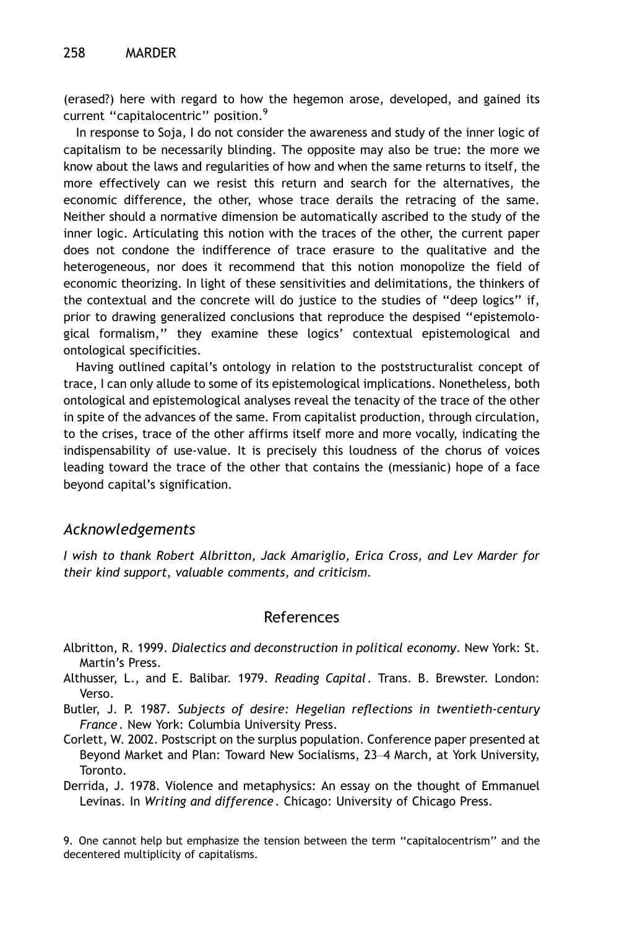(erased?) here with regard to how the hegemon arose, developed, and gained its current "capitalocentric" position.<sup>9</sup>

In response to Soja, I do not consider the awareness and study of the inner logic of capitalism to be necessarily blinding. The opposite may also be true: the more we know about the laws and regularities of how and when the same returns to itself, the more effectively can we resist this return and search for the alternatives, the economic difference, the other, whose trace derails the retracing of the same. Neither should a normative dimension be automatically ascribed to the study of the inner logic. Articulating this notion with the traces of the other, the current paper does not condone the indifference of trace erasure to the qualitative and the heterogeneous, nor does it recommend that this notion monopolize the field of economic theorizing. In light of these sensitivities and delimitations, the thinkers of the contextual and the concrete will do justice to the studies of ''deep logics'' if, prior to drawing generalized conclusions that reproduce the despised ''epistemological formalism,'' they examine these logics' contextual epistemological and ontological specificities.

Having outlined capital's ontology in relation to the poststructuralist concept of trace, I can only allude to some of its epistemological implications. Nonetheless, both ontological and epistemological analyses reveal the tenacity of the trace of the other in spite of the advances of the same. From capitalist production, through circulation, to the crises, trace of the other affirms itself more and more vocally, indicating the indispensability of use-value. It is precisely this loudness of the chorus of voices leading toward the trace of the other that contains the (messianic) hope of a face beyond capital's signification.

#### Acknowledgements

I wish to thank Robert Albritton, Jack Amariglio, Erica Cross, and Lev Marder for their kind support, valuable comments, and criticism.

#### References

- Albritton, R. 1999. Dialectics and deconstruction in political economy. New York: St. Martin's Press.
- Althusser, L., and E. Balibar. 1979. Reading Capital. Trans. B. Brewster. London: Verso.
- Butler, J. P. 1987. Subjects of desire: Hegelian reflections in twentieth-century France. New York: Columbia University Press.
- Corlett, W. 2002. Postscript on the surplus population. Conference paper presented at Beyond Market and Plan: Toward New Socialisms, 23-/4 March, at York University, Toronto.
- Derrida, J. 1978. Violence and metaphysics: An essay on the thought of Emmanuel Levinas. In Writing and difference. Chicago: University of Chicago Press.

9. One cannot help but emphasize the tension between the term ''capitalocentrism'' and the decentered multiplicity of capitalisms.